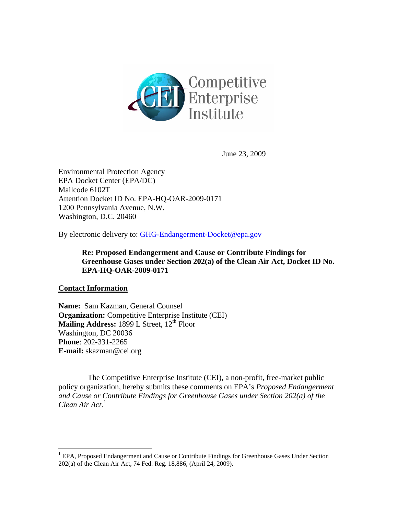

June 23, 2009

Environmental Protection Agency EPA Docket Center (EPA/DC) Mailcode 6102T Attention Docket ID No. EPA-HQ-OAR-2009-0171 1200 Pennsylvania Avenue, N.W. Washington, D.C. 20460

By electronic delivery to: [GHG-Endangerment-Docket@epa.gov](mailto:GHG-Endangerment-Docket@epa.gov)

**Re: Proposed Endangerment and Cause or Contribute Findings for Greenhouse Gases under Section 202(a) of the Clean Air Act, Docket ID No. EPA-HQ-OAR-2009-0171** 

### **Contact Information**

 $\overline{a}$ 

**Name:** Sam Kazman, General Counsel **Organization:** Competitive Enterprise Institute (CEI) Mailing Address: 1899 L Street, 12<sup>th</sup> Floor Washington, DC 20036 **Phone**: 202-331-2265 **E-mail:** skazman@cei.org

 The Competitive Enterprise Institute (CEI), a non-profit, free-market public policy organization, hereby submits these comments on EPA's *Proposed Endangerment and Cause or Contribute Findings for Greenhouse Gases under Section 202(a) of the Clean Air Act*. [1](#page-0-0)

<span id="page-0-0"></span><sup>&</sup>lt;sup>1</sup> EPA, Proposed Endangerment and Cause or Contribute Findings for Greenhouse Gases Under Section 202(a) of the Clean Air Act, 74 Fed. Reg. 18,886*,* (April 24, 2009).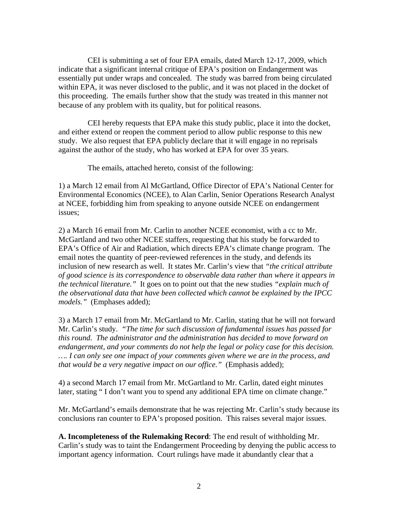CEI is submitting a set of four EPA emails, dated March 12-17, 2009, which indicate that a significant internal critique of EPA's position on Endangerment was essentially put under wraps and concealed. The study was barred from being circulated within EPA, it was never disclosed to the public, and it was not placed in the docket of this proceeding. The emails further show that the study was treated in this manner not because of any problem with its quality, but for political reasons.

 CEI hereby requests that EPA make this study public, place it into the docket, and either extend or reopen the comment period to allow public response to this new study. We also request that EPA publicly declare that it will engage in no reprisals against the author of the study, who has worked at EPA for over 35 years.

The emails, attached hereto, consist of the following:

1) a March 12 email from Al McGartland, Office Director of EPA's National Center for Environmental Economics (NCEE), to Alan Carlin, Senior Operations Research Analyst at NCEE, forbidding him from speaking to anyone outside NCEE on endangerment issues;

2) a March 16 email from Mr. Carlin to another NCEE economist, with a cc to Mr. McGartland and two other NCEE staffers, requesting that his study be forwarded to EPA's Office of Air and Radiation, which directs EPA's climate change program. The email notes the quantity of peer-reviewed references in the study, and defends its inclusion of new research as well. It states Mr. Carlin's view that *"the critical attribute of good science is its correspondence to observable data rather than where it appears in the technical literature."* It goes on to point out that the new studies *"explain much of the observational data that have been collected which cannot be explained by the IPCC models."* (Emphases added);

3) a March 17 email from Mr. McGartland to Mr. Carlin, stating that he will not forward Mr. Carlin's study. *"The time for such discussion of fundamental issues has passed for this round. The administrator and the administration has decided to move forward on endangerment, and your comments do not help the legal or policy case for this decision. …. I can only see one impact of your comments given where we are in the process, and that would be a very negative impact on our office."* (Emphasis added);

4) a second March 17 email from Mr. McGartland to Mr. Carlin, dated eight minutes later, stating " I don't want you to spend any additional EPA time on climate change."

Mr. McGartland's emails demonstrate that he was rejecting Mr. Carlin's study because its conclusions ran counter to EPA's proposed position. This raises several major issues.

**A. Incompleteness of the Rulemaking Record**: The end result of withholding Mr. Carlin's study was to taint the Endangerment Proceeding by denying the public access to important agency information. Court rulings have made it abundantly clear that a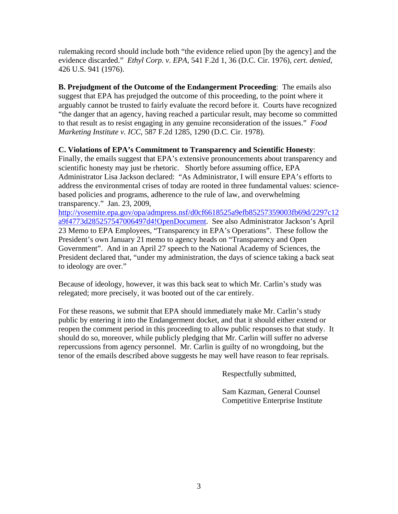rulemaking record should include both "the evidence relied upon [by the agency] and the evidence discarded." *Ethyl Corp. v. EPA*, 541 F.2d 1, 36 (D.C. Cir. 1976), *cert. denied*, 426 U.S. 941 (1976).

**B. Prejudgment of the Outcome of the Endangerment Proceeding**: The emails also suggest that EPA has prejudged the outcome of this proceeding, to the point where it arguably cannot be trusted to fairly evaluate the record before it. Courts have recognized "the danger that an agency, having reached a particular result, may become so committed to that result as to resist engaging in any genuine reconsideration of the issues." *Food Marketing Institute v. ICC*, 587 F.2d 1285, 1290 (D.C. Cir. 1978).

## **C. Violations of EPA's Commitment to Transparency and Scientific Honesty**:

Finally, the emails suggest that EPA's extensive pronouncements about transparency and scientific honesty may just be rhetoric. Shortly before assuming office, EPA Administrator Lisa Jackson declared: "As Administrator, I will ensure EPA's efforts to address the environmental crises of today are rooted in three fundamental values: sciencebased policies and programs, adherence to the rule of law, and overwhelming transparency." Jan. 23, 2009,

[http://yosemite.epa.gov/opa/admpress.nsf/d0cf6618525a9efb85257359003fb69d/2297c12](http://yosemite.epa.gov/opa/admpress.nsf/d0cf6618525a9efb85257359003fb69d/2297c12a9f4773d285257547006497d4!OpenDocument) [a9f4773d285257547006497d4!OpenDocument](http://yosemite.epa.gov/opa/admpress.nsf/d0cf6618525a9efb85257359003fb69d/2297c12a9f4773d285257547006497d4!OpenDocument). See also Administrator Jackson's April 23 Memo to EPA Employees, "Transparency in EPA's Operations". These follow the President's own January 21 memo to agency heads on "Transparency and Open Government". And in an April 27 speech to the National Academy of Sciences, the President declared that, "under my administration, the days of science taking a back seat to ideology are over."

Because of ideology, however, it was this back seat to which Mr. Carlin's study was relegated; more precisely, it was booted out of the car entirely.

For these reasons, we submit that EPA should immediately make Mr. Carlin's study public by entering it into the Endangerment docket, and that it should either extend or reopen the comment period in this proceeding to allow public responses to that study. It should do so, moreover, while publicly pledging that Mr. Carlin will suffer no adverse repercussions from agency personnel. Mr. Carlin is guilty of no wrongdoing, but the tenor of the emails described above suggests he may well have reason to fear reprisals.

Respectfully submitted,

 Sam Kazman, General Counsel Competitive Enterprise Institute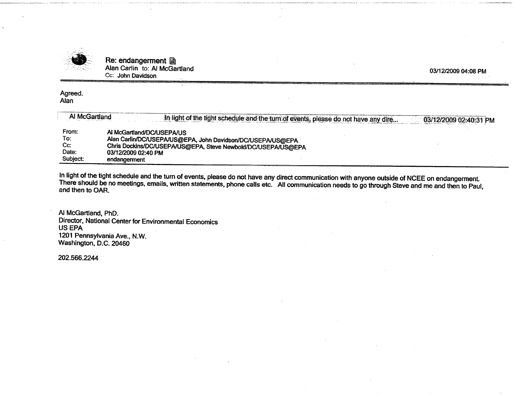

Re: endangerment 圖 Alan Carlin to: Al McGartland Cc: John Davidson

03/12/2009 04:08 PM

#### Agreed. Alan

| Al McGartland | In light of the tight schedule and the turn of events, please do not have any dire<br>03/12/2009 02:40:31 PM |
|---------------|--------------------------------------------------------------------------------------------------------------|
| From:         | AI McGartland/DC/USEPA/US                                                                                    |
| To:           | Alan Carlin/DC/USEPA/US@EPA, John Davidson/DC/USEPA/US@EPA                                                   |
| Cc:           | Chris Dockins/DC/USEPA/US@EPA, Steve Newbold/DC/USEPA/US@EPA                                                 |
| Date:         | 03/12/2009 02:40 PM                                                                                          |
| Subject:      | endangerment                                                                                                 |

In light of the tight schedule and the turn of events, please do not have any direct communication with anyone outside of NCEE on endangerment.<br>There should be no meetings, emails, written statements, phone calls etc. All and then to OAR.

Al McGartland, PhD. Director, National Center for Environmental Economics **US EPA** 1201 Pennsylvania Ave., N.W. Washington, D.C. 20460

202.566.2244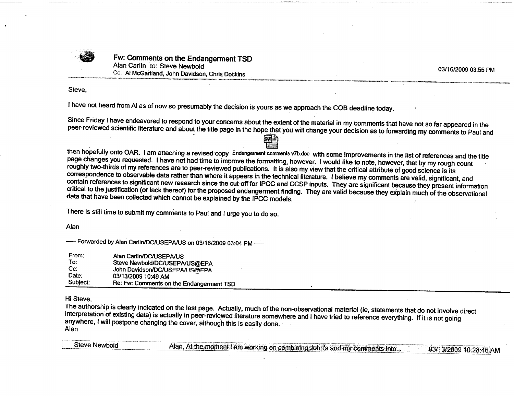

Fw: Comments on the Endangerment TSD Alan Carlin to: Steve Newbold Cc: Al McGartland, John Davidson, Chris Dockins

03/16/2009 03:55 PM

Steve.

I have not heard from AI as of now so presumably the decision is yours as we approach the COB deadline today.

Since Friday I have endeavored to respond to your concerns about the extent of the material in my comments that have not so far appeared in the peer-reviewed scientific literature and about the title page in the hope that you will change your decision as to forwarding my comments to Paul and

# 网生

then hopefully onto OAR. I am attaching a revised copy Endangerment comments v7b.doc with some improvements in the list of references and the title page changes you requested. I have not had time to improve the formatting, however. I would like to note, however, that by my rough count roughly two-thirds of my references are to peer-reviewed publications. It is also my view that the critical attribute of good science is its correspondence to observable data rather than where it appears in the technical literature. I believe my comments are valid, significant, and contain references to significant new research since the cut-off for IPCC and CCSP inputs. They are significant because they present information critical to the justification (or lack thereof) for the proposed endangerment finding. They are valid because they explain much of the observational data that have been collected which cannot be explained by the IPCC models.

There is still time to submit my comments to Paul and I urge you to do so.

Alan

----- Forwarded by Alan Carlin/DC/USEPA/US on 03/16/2009 03:04 PM -----

| From:    | Alan Carlin/DC/USEPA/US                  |
|----------|------------------------------------------|
| To:      | Steve Newbold/DC/USEPA/US@EPA            |
| Cc:      | John Davidson/DC/USFPA/I ISMFPA          |
| Date:    | 03/13/2009 10:49 AM                      |
| Subject: | Re: Fw: Comments on the Endangerment TSD |

#### Hi Steve.

The authorship is clearly indicated on the last page. Actually, much of the non-observational material (ie, statements that do not involve direct interpretation of existing data) is actually in peer-reviewed literature somewhere and I have tried to reference everything. If it is not going anywhere, I will postpone changing the cover, although this is easily done. Alan

| Steve Newbold | Alan, At the moment I am working on combining John's and my comments into |
|---------------|---------------------------------------------------------------------------|
|               |                                                                           |
|               |                                                                           |
|               |                                                                           |
|               |                                                                           |
|               |                                                                           |
|               |                                                                           |
|               |                                                                           |
|               |                                                                           |
|               |                                                                           |
|               |                                                                           |
|               |                                                                           |
|               |                                                                           |
|               |                                                                           |
|               |                                                                           |
|               |                                                                           |
|               | 03/13/2009 10:28:46 AM                                                    |
|               |                                                                           |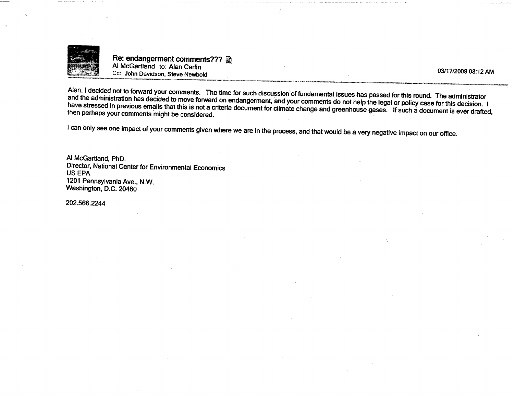

Re: endangerment comments??? Al McGartland to: Alan Carlin Cc: John Davidson, Steve Newbold

03/17/2009 08:12 AM

Alan, I decided not to forward your comments. The time for such discussion of fundamental issues has passed for this round. The administrator and the administration has decided to move forward on endangerment, and your comments do not help the legal or policy case for this decision. I have stressed in previous emails that this is not a criteria document for climate change and greenhouse gases. If such a document is ever drafted, then perhaps your comments might be considered.

I can only see one impact of your comments given where we are in the process, and that would be a very negative impact on our office.

Al McGartland, PhD. Director, National Center for Environmental Economics **US EPA** 1201 Pennsylvania Ave., N.W. Washington, D.C. 20460

202.566.2244